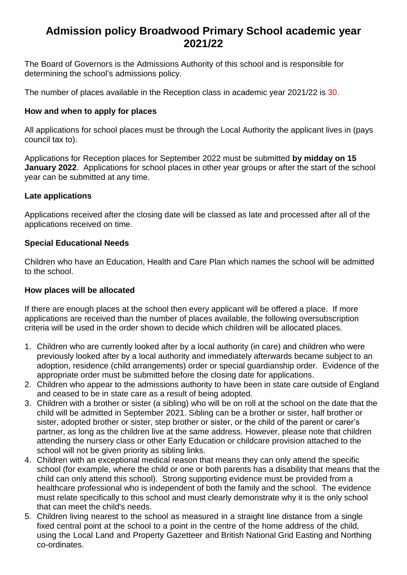# **Admission policy Broadwood Primary School academic year 2021/22**

The Board of Governors is the Admissions Authority of this school and is responsible for determining the school's admissions policy.

The number of places available in the Reception class in academic year 2021/22 is 30.

### **How and when to apply for places**

All applications for school places must be through the Local Authority the applicant lives in (pays council tax to).

Applications for Reception places for September 2022 must be submitted **by midday on 15 January 2022**. Applications for school places in other year groups or after the start of the school year can be submitted at any time.

#### **Late applications**

Applications received after the closing date will be classed as late and processed after all of the applications received on time.

#### **Special Educational Needs**

Children who have an Education, Health and Care Plan which names the school will be admitted to the school.

#### **How places will be allocated**

If there are enough places at the school then every applicant will be offered a place. If more applications are received than the number of places available, the following oversubscription criteria will be used in the order shown to decide which children will be allocated places.

- 1. Children who are currently looked after by a local authority (in care) and children who were previously looked after by a local authority and immediately afterwards became subject to an adoption, residence (child arrangements) order or special guardianship order. Evidence of the appropriate order must be submitted before the closing date for applications.
- 2. Children who appear to the admissions authority to have been in state care outside of England and ceased to be in state care as a result of being adopted.
- 3. Children with a brother or sister (a sibling) who will be on roll at the school on the date that the child will be admitted in September 2021. Sibling can be a brother or sister, half brother or sister, adopted brother or sister, step brother or sister, or the child of the parent or carer's partner, as long as the children live at the same address. However, please note that children attending the nursery class or other Early Education or childcare provision attached to the school will not be given priority as sibling links.
- 4. Children with an exceptional medical reason that means they can only attend the specific school (for example, where the child or one or both parents has a disability that means that the child can only attend this school). Strong supporting evidence must be provided from a healthcare professional who is independent of both the family and the school. The evidence must relate specifically to this school and must clearly demonstrate why it is the only school that can meet the child's needs.
- 5. Children living nearest to the school as measured in a straight line distance from a single fixed central point at the school to a point in the centre of the home address of the child, using the Local Land and Property Gazetteer and British National Grid Easting and Northing co-ordinates.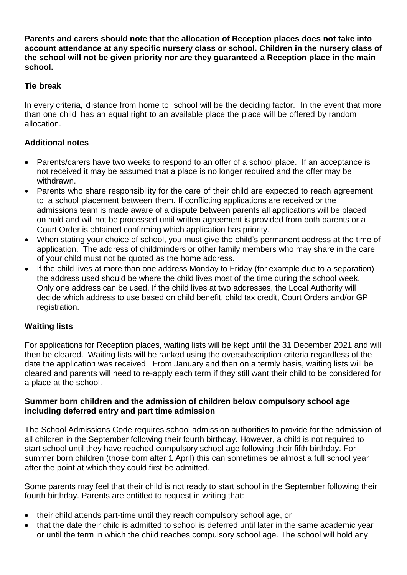**Parents and carers should note that the allocation of Reception places does not take into account attendance at any specific nursery class or school. Children in the nursery class of the school will not be given priority nor are they guaranteed a Reception place in the main school.** 

# **Tie break**

In every criteria, distance from home to school will be the deciding factor. In the event that more than one child has an equal right to an available place the place will be offered by random allocation.

# **Additional notes**

- Parents/carers have two weeks to respond to an offer of a school place. If an acceptance is not received it may be assumed that a place is no longer required and the offer may be withdrawn.
- Parents who share responsibility for the care of their child are expected to reach agreement to a school placement between them. If conflicting applications are received or the admissions team is made aware of a dispute between parents all applications will be placed on hold and will not be processed until written agreement is provided from both parents or a Court Order is obtained confirming which application has priority.
- When stating your choice of school, you must give the child's permanent address at the time of application. The address of childminders or other family members who may share in the care of your child must not be quoted as the home address.
- If the child lives at more than one address Monday to Friday (for example due to a separation) the address used should be where the child lives most of the time during the school week. Only one address can be used. If the child lives at two addresses, the Local Authority will decide which address to use based on child benefit, child tax credit, Court Orders and/or GP registration.

# **Waiting lists**

For applications for Reception places, waiting lists will be kept until the 31 December 2021 and will then be cleared. Waiting lists will be ranked using the oversubscription criteria regardless of the date the application was received. From January and then on a termly basis, waiting lists will be cleared and parents will need to re-apply each term if they still want their child to be considered for a place at the school.

#### **Summer born children and the admission of children below compulsory school age including deferred entry and part time admission**

The School Admissions Code requires school admission authorities to provide for the admission of all children in the September following their fourth birthday. However, a child is not required to start school until they have reached compulsory school age following their fifth birthday. For summer born children (those born after 1 April) this can sometimes be almost a full school year after the point at which they could first be admitted.

Some parents may feel that their child is not ready to start school in the September following their fourth birthday. Parents are entitled to request in writing that:

- their child attends part-time until they reach compulsory school age, or
- that the date their child is admitted to school is deferred until later in the same academic year or until the term in which the child reaches compulsory school age. The school will hold any